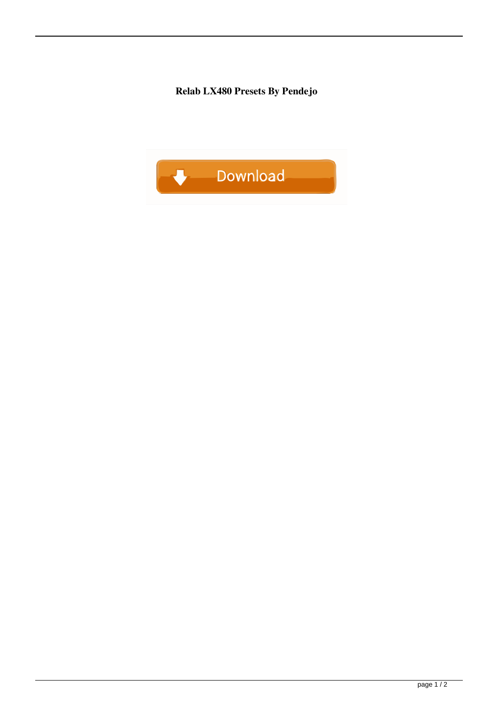**Relab LX480 Presets By Pendejo**